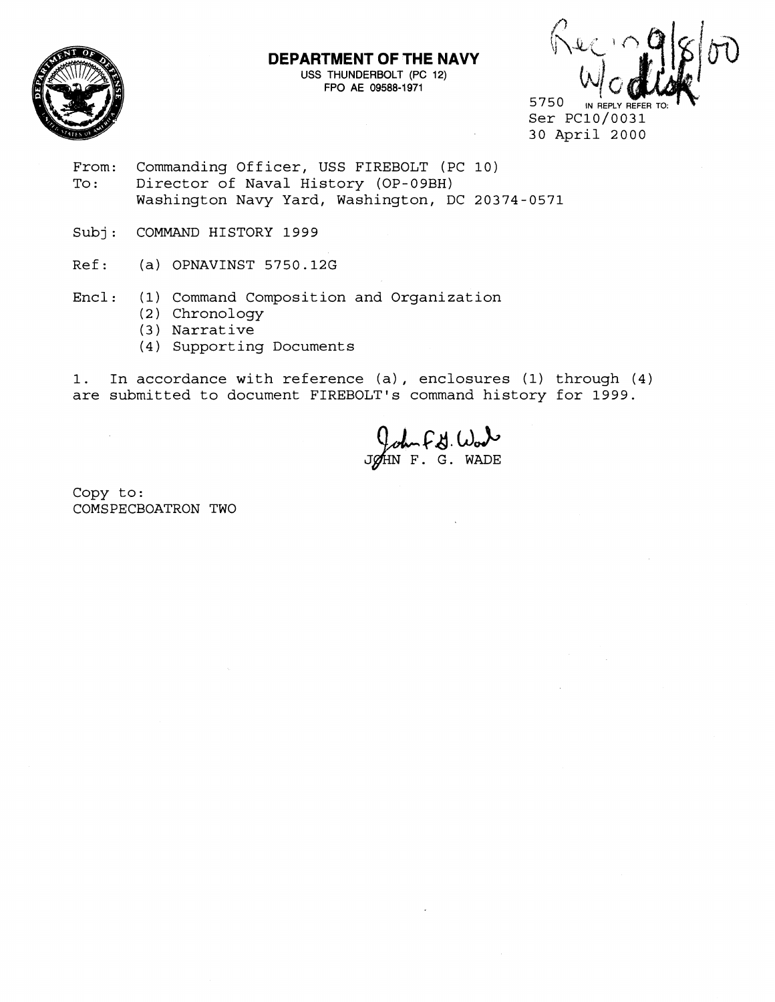

## **DEPARTMENT OF THE NAVY**

USS THUNDERBOLT (PC 12) FPO AE **09588-1 971** 

5750 IN REPLY REFER Ser PC10/0031

30 April 2000

- From: Commanding Officer, USS FIREBOLT (PC 10)<br>To: Director of Naval History (OP-09BH) Director of Naval History (OP-09BH) Washington Navy Yard, Washington, DC 20374-0571
- Subj: COMMAND HISTORY 1999
- Ref: (a) OPNAVINST 5750.12G
- Encl: (1) Command Composition and Organization
	- (2) Chronology
	- (3 ) Narrative
	- (4) Supporting Documents

1. In accordance with reference (a) , enclosures (1) through (4) are submitted to document FIREBOLT's command history for 1999.

John F. J. Work

Copy to: COMSPECBOATRON TWO

 $\sim 10^7$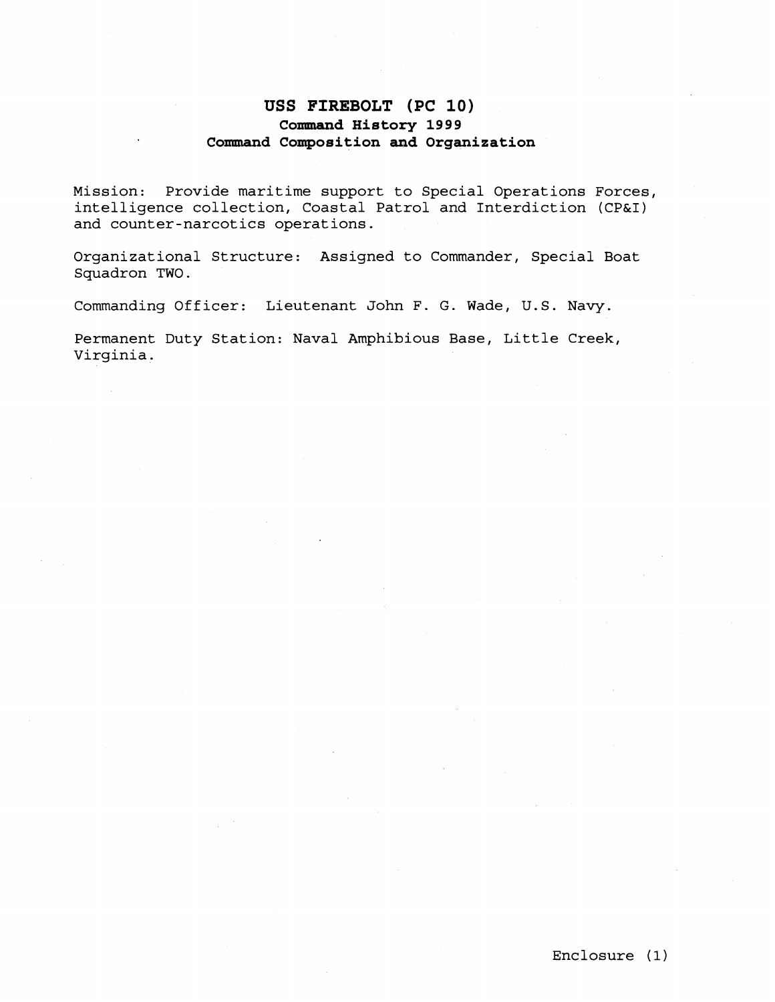## **USS FIREBOLT (PC 10) Command History 1999 Command Composition and Organization**

Mission: Provide maritime support to Special Operations Forces, intelligence collection, Coastal Patrol and Interdiction (CP&I) and counter-narcotics operations.

Organizational Structure: Assigned to Commander, Special Boat Squadron TWO.

Commanding Officer: Lieutenant John F. G. Wade, U.S. Navy.

Permanent Duty Station: Naval Amphibious Base, Little Creek, Virginia.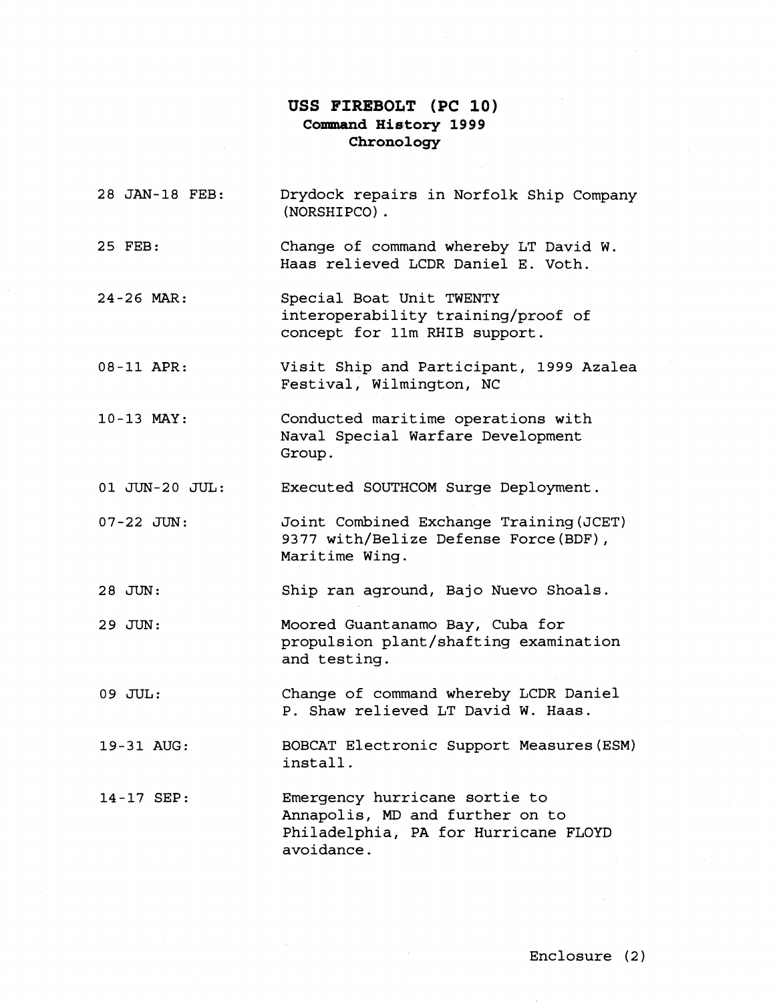## USS FIREBOLT (PC 10) **Commrand Hisltory 1999 Chronology**

| 28 JAN-18 FEB: | Drydock repairs in Norfolk Ship Company<br>(NORSHIPCO).                                                                |
|----------------|------------------------------------------------------------------------------------------------------------------------|
| 25 FEB:        | Change of command whereby LT David W.<br>Haas relieved LCDR Daniel E. Voth.                                            |
| 24-26 MAR:     | Special Boat Unit TWENTY<br>interoperability training/proof of<br>concept for 11m RHIB support.                        |
| 08-11 APR:     | Visit Ship and Participant, 1999 Azalea<br>Festival, Wilmington, NC                                                    |
| 10-13 MAY:     | Conducted maritime operations with<br>Naval Special Warfare Development<br>Group.                                      |
| 01 JUN-20 JUL: | Executed SOUTHCOM Surge Deployment.                                                                                    |
| 07-22 JUN:     | Joint Combined Exchange Training (JCET)<br>9377 with/Belize Defense Force (BDF),<br>Maritime Wing.                     |
| 28 JUN:        | Ship ran aground, Bajo Nuevo Shoals.                                                                                   |
| 29 JUN:        | Moored Guantanamo Bay, Cuba for<br>propulsion plant/shafting examination<br>and testing.                               |
| 09 JUL:        | Change of command whereby LCDR Daniel<br>P. Shaw relieved LT David W. Haas.                                            |
| 19-31 AUG:     | BOBCAT Electronic Support Measures (ESM)<br>install.                                                                   |
| 14-17 SEP:     | Emergency hurricane sortie to<br>Annapolis, MD and further on to<br>Philadelphia, PA for Hurricane FLOYD<br>avoidance. |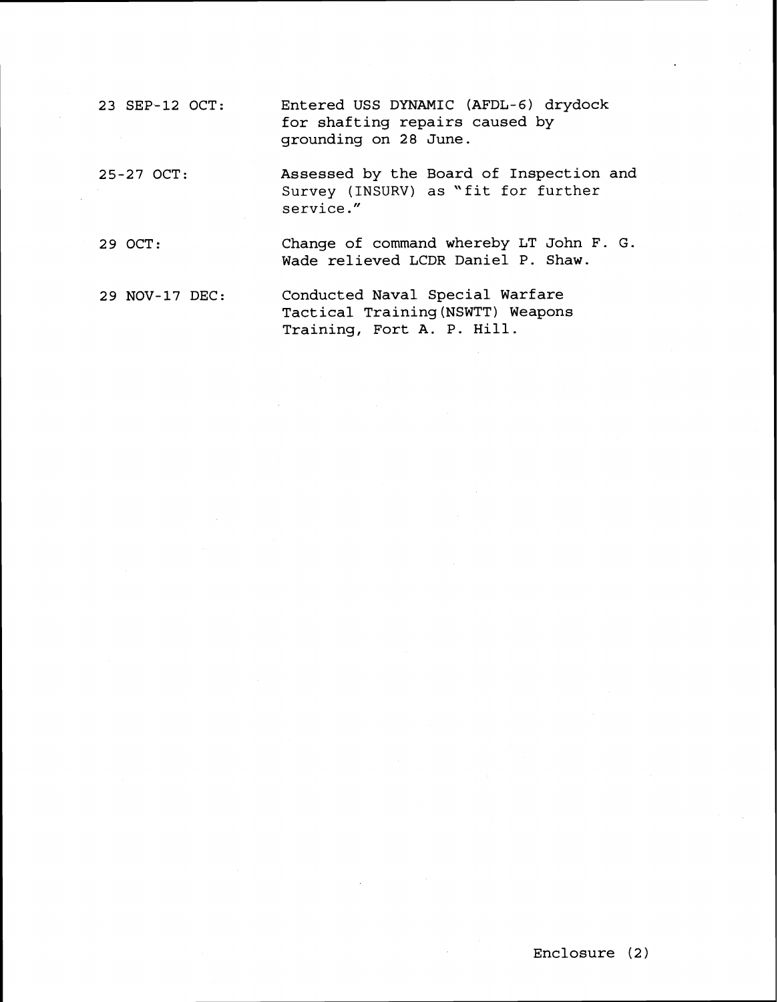23 SEP-12 OCT: Entered USS DYNAMIC (AFDL-6) drydock for shafting repairs caused by grounding on 28 June.

25-27 OCT: Assessed by the Board of Inspection and Survey (INSURV) as "fit for further service ."

29 OCT: Change of command whereby LT John F. G. Wade relieved LCDR Daniel P. Shaw.

29 NOV-17 DEC: Conducted Naval Special Warfare Tactical Training(NSWTT) Weapons Training, Fort A. P. Hill.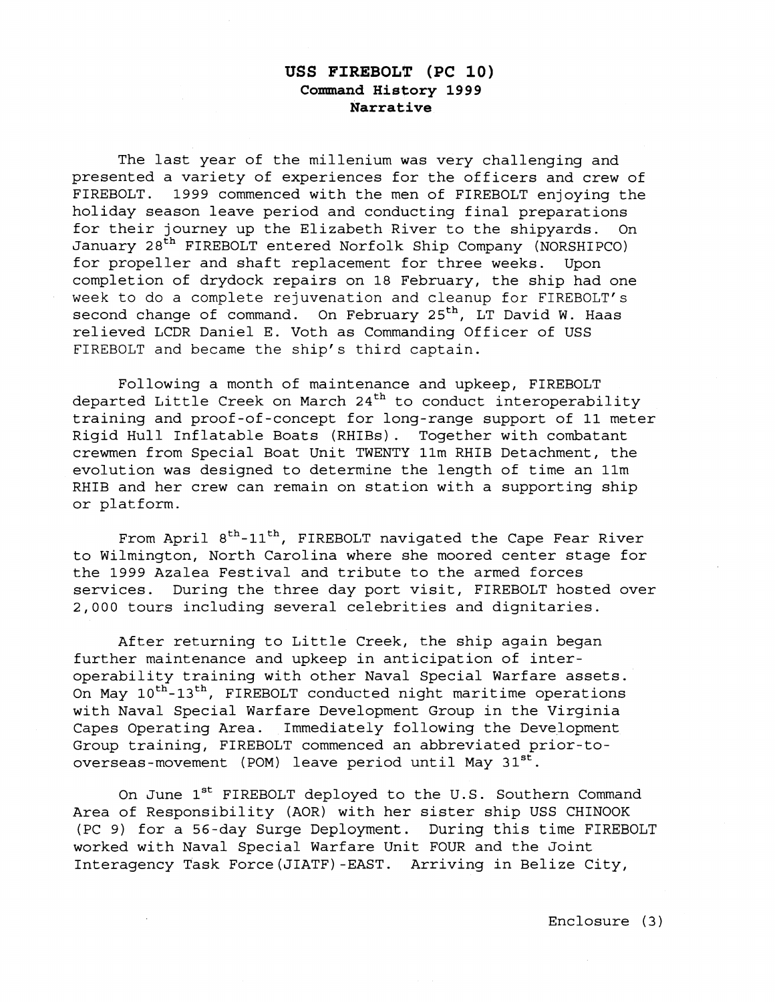## **USS FIREBOLT (PC 10) Command History 1999 Narrative**

The last year of the millenium was very challenging and presented a variety of experiences for the officers and crew of FIREBOLT. 1999 commenced with the men of FIREBOLT enjoying the holiday season leave period and conducting final preparations for their journey up the Elizabeth River to the shipyards. On January 28<sup>th</sup> FIREBOLT entered Norfolk Ship Company (NORSHIPCO) for propeller and shaft replacement for three weeks. Upon completion of drydock repairs on 18 February, the ship had one week to do a complete rejuvenation and cleanup for FIREBOLT's second change of command. On February 25<sup>th</sup>, LT David W. Haas relieved LCDR Daniel E. Voth as Commanding Officer of USS FIREBOLT and became the ship's third captain.

Following a month of maintenance and upkeep, FIREBOLT departed Little Creek on March 24<sup>th</sup> to conduct interoperability training and proof-of-concept for long-range support of 11 meter Rigid Hull Inflatable Boats (RHIBs) . Together with combatant crewmen from Special Boat Unit TWENTY llm RHIB Detachment, the evolution was designed to determine the length of time an llm RHIB and her crew can remain on station with a supporting ship or platform.

From April 8<sup>th</sup>-11<sup>th</sup>, FIREBOLT navigated the Cape Fear River to Wilmington, North Carolina where she moored center stage for the 1999 Azalea Festival and tribute to the armed forces services. During the three day port visit, FIREBOLT hosted over 2,000 tours including several celebrities and dignitaries.

After returning to Little Creek, the ship again began further maintenance and upkeep in anticipation of interoperability training with other Naval Special Warfare assets. On May 10<sup>th</sup>-13<sup>th</sup>, FIREBOLT conducted night maritime operations with Naval Special Warfare Development Group in the Virginia Capes Operating Area. Immediately following the Development Group training, FIREBOLT commenced an abbreviated prior-tooverseas-movement (POM) leave period until May 31st.

On June 1<sup>st</sup> FIREBOLT deployed to the U.S. Southern Command Area of Responsibility (AOR) with her sister ship USS CHINOOK (PC 9) for a 56-day Surge Deployment. During this time FIREBOLT worked with Naval Special Warfare Unit FOUR and the Joint Interagency Task Force(J1ATF)-EAST. Arriving in Belize City,

Enclosure (3)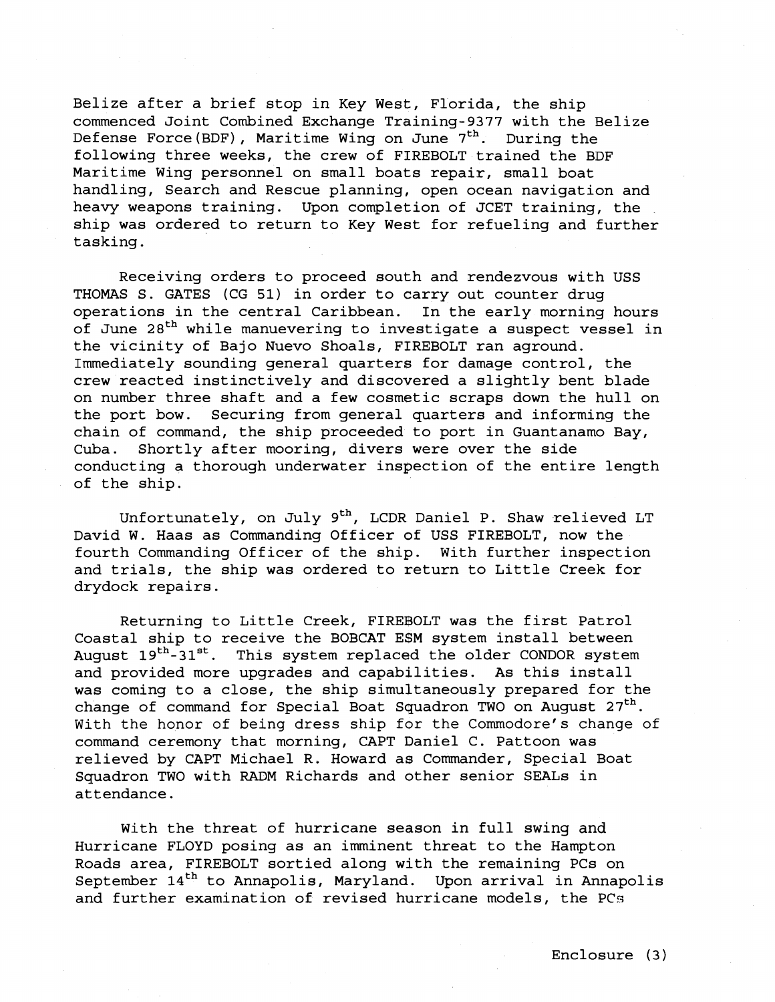Belize after a brief stop in Key West, Florida, the ship commenced Joint Combined Exchange Training-9377 with the Belize Defense Force (BDF), Maritime Wing on June  $7<sup>th</sup>$ . During the following three weeks, the crew of FIREBOLT trained the BDF Maritime Wing personnel on small boats repair, small boat handling, Search and Rescue planning, open ocean navigation and heavy weapons training. Upon completion of JCET training, the ship was ordered to return to Key West for refueling and further tasking.

Receiving orders to proceed south and rendezvous with USS THOMAS S. GATES (CG 51) in order to carry out counter drug operations in the central Caribbean. In the early morning hours of June 28<sup>th</sup> while manuevering to investigate a suspect vessel in the vicinity of Bajo Nuevo Shoals, FIREBOLT ran aground. Immediately sounding general quarters for damage control, the crew reacted instinctively and discovered a slightly bent blade on number three shaft and a few cosmetic scraps down the hull on the port bow. Securing from general quarters and informing the chain of command, the ship proceeded to port in Guantanamo Bay, Cuba. Shortly after mooring, divers were over the side conducting a thorough underwater inspection of the entire length of the ship.

Unfortunately, on July  $9<sup>th</sup>$ , LCDR Daniel P. Shaw relieved LT David W. Haas as Commanding Officer of USS FIREBOLT, now the fourth Commanding Officer of the ship. With further inspection and trials, the ship was ordered to return to Little Creek for drydock repairs.

Returning to Little Creek, FIREBOLT was the first Patrol Coastal ship to receive the BOBCAT ESM system install between August 19<sup>th</sup>-31<sup>st</sup>. This system replaced the older CONDOR system and provided more upgrades and capabilities. As this install was coming to a close, the ship simultaneously prepared for the change of command for Special Boat Squadron TWO on August  $27<sup>th</sup>$ . With the honor of being dress ship for the Commodore's change of command ceremony that morning, CAPT Daniel C. Pattoon was relieved by CAPT Michael R. Howard as Commander, Special Boat Squadron TWO with RADM Richards and other senior SEALS in attendance.

With the threat of hurricane season in full swing and Hurricane FLOYD posing as an imminent threat to the Hampton Roads area, FIREBOLT sortied along with the remaining PCs on September  $14<sup>th</sup>$  to Annapolis, Maryland. Upon arrival in Annapolis and further examination of revised hurricane models, the PCs